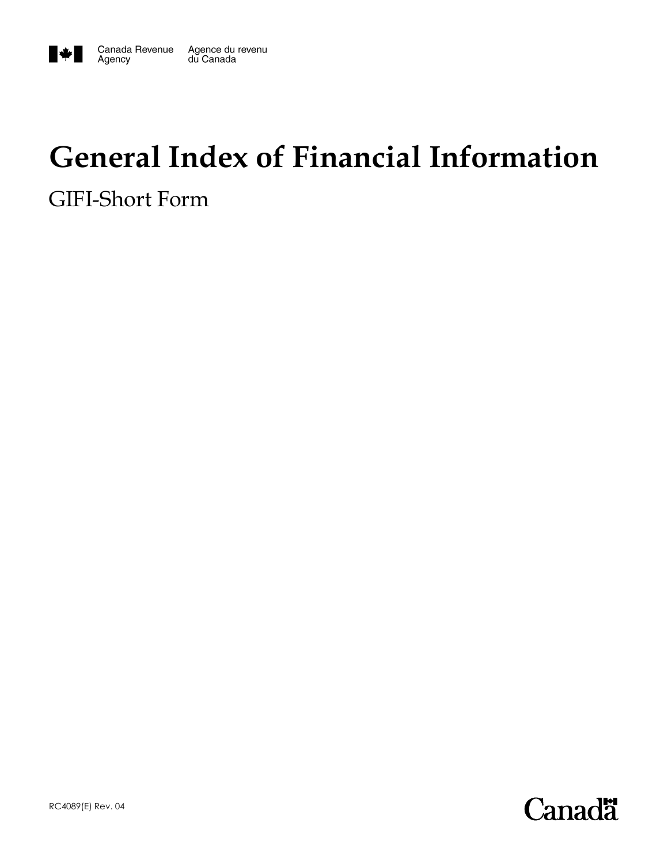

# **General Index of Financial Information**

GIFI-Short Form

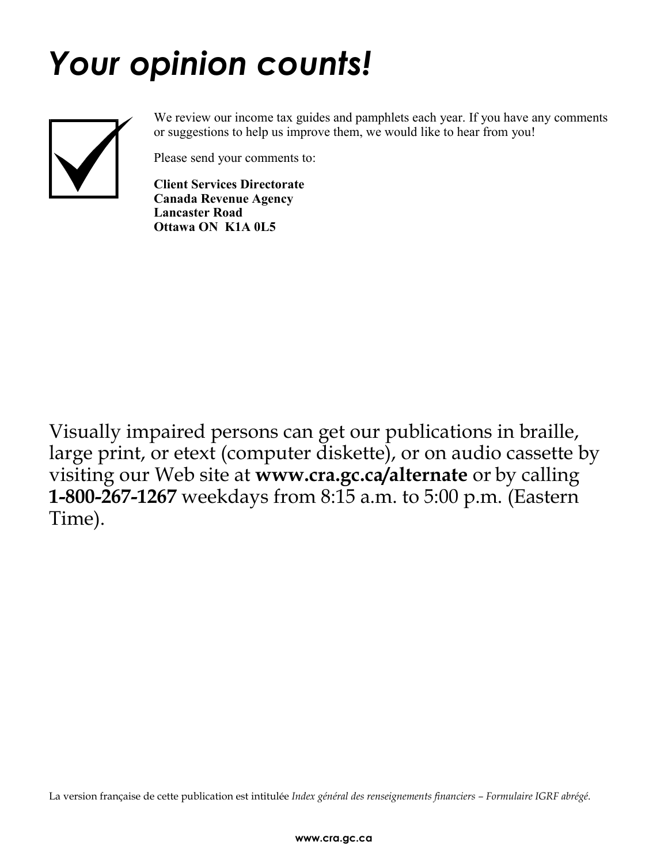# *Your opinion counts!*



We review our income tax guides and pamphlets each year. If you have any comments or suggestions to help us improve them, we would like to hear from you!

Please send your comments to:

**Client Services Directorate Canada Revenue Agency Lancaster Road Ottawa ON K1A 0L5** 

Visually impaired persons can get our publications in braille, large print, or etext (computer diskette), or on audio cassette by visiting our Web site at **www.cra.gc.ca/alternate** or by calling **1-800-267-1267** weekdays from 8:15 a.m. to 5:00 p.m. (Eastern Time).

La version française de cette publication est intitulée *Index général des renseignements financiers – Formulaire IGRF abrégé*.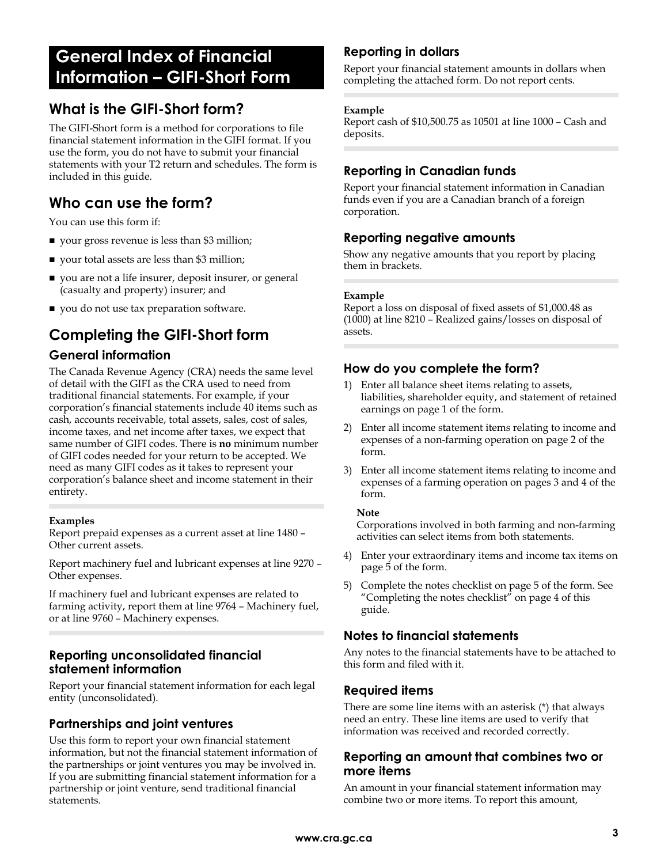# **General Index of Financial Information – GIFI-Short Form**

# **What is the GIFI-Short form?**

The GIFI-Short form is a method for corporations to file financial statement information in the GIFI format. If you use the form, you do not have to submit your financial statements with your T2 return and schedules. The form is included in this guide.

# **Who can use the form?**

You can use this form if:

- vour gross revenue is less than \$3 million;
- vour total assets are less than \$3 million;
- you are not a life insurer, deposit insurer, or general (casualty and property) insurer; and
- vou do not use tax preparation software.

# **Completing the GIFI-Short form**

## **General information**

The Canada Revenue Agency (CRA) needs the same level of detail with the GIFI as the CRA used to need from traditional financial statements. For example, if your corporation's financial statements include 40 items such as cash, accounts receivable, total assets, sales, cost of sales, income taxes, and net income after taxes, we expect that same number of GIFI codes. There is **no** minimum number of GIFI codes needed for your return to be accepted. We need as many GIFI codes as it takes to represent your corporation's balance sheet and income statement in their entirety.

#### **Examples**

Report prepaid expenses as a current asset at line 1480 – Other current assets.

Report machinery fuel and lubricant expenses at line 9270 – Other expenses.

If machinery fuel and lubricant expenses are related to farming activity, report them at line 9764 – Machinery fuel, or at line 9760 – Machinery expenses.

## **Reporting unconsolidated financial statement information**

Report your financial statement information for each legal entity (unconsolidated).

# **Partnerships and joint ventures**

Use this form to report your own financial statement information, but not the financial statement information of the partnerships or joint ventures you may be involved in. If you are submitting financial statement information for a partnership or joint venture, send traditional financial statements.

# **Reporting in dollars**

Report your financial statement amounts in dollars when completing the attached form. Do not report cents.

#### **Example**

Report cash of \$10,500.75 as 10501 at line 1000 – Cash and deposits.

# **Reporting in Canadian funds**

Report your financial statement information in Canadian funds even if you are a Canadian branch of a foreign corporation.

## **Reporting negative amounts**

Show any negative amounts that you report by placing them in brackets.

#### **Example**

Report a loss on disposal of fixed assets of \$1,000.48 as (1000) at line 8210 – Realized gains/losses on disposal of assets.

# **How do you complete the form?**

- 1) Enter all balance sheet items relating to assets, liabilities, shareholder equity, and statement of retained earnings on page 1 of the form.
- 2) Enter all income statement items relating to income and expenses of a non-farming operation on page 2 of the form.
- 3) Enter all income statement items relating to income and expenses of a farming operation on pages 3 and 4 of the form.

#### **Note**

Corporations involved in both farming and non-farming activities can select items from both statements.

- 4) Enter your extraordinary items and income tax items on page 5 of the form.
- 5) Complete the notes checklist on page 5 of the form. See "Completing the notes checklist" on page 4 of this guide.

## **Notes to financial statements**

Any notes to the financial statements have to be attached to this form and filed with it.

## **Required items**

There are some line items with an asterisk (\*) that always need an entry. These line items are used to verify that information was received and recorded correctly.

## **Reporting an amount that combines two or more items**

An amount in your financial statement information may combine two or more items. To report this amount,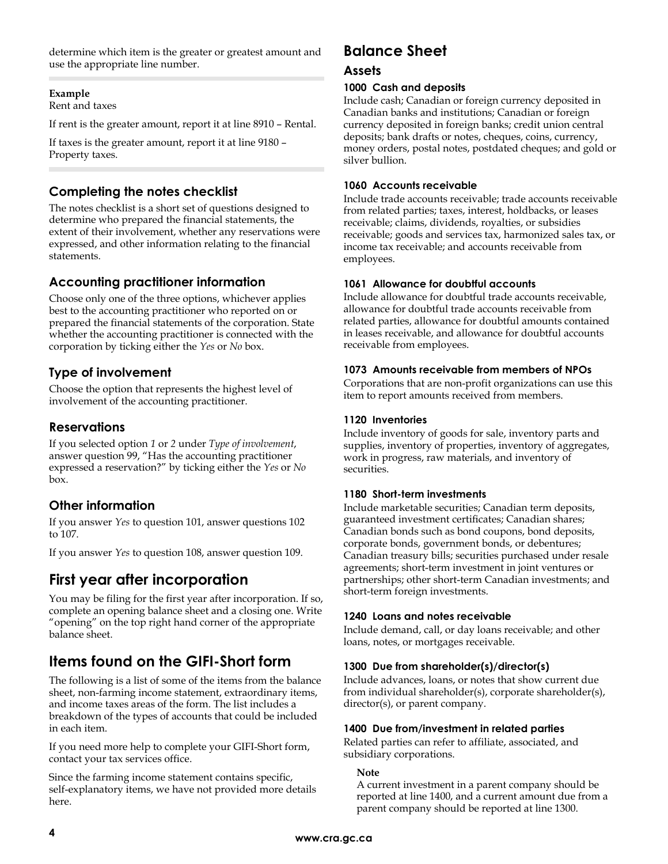determine which item is the greater or greatest amount and use the appropriate line number.

#### **Example**

Rent and taxes

If rent is the greater amount, report it at line 8910 – Rental.

If taxes is the greater amount, report it at line 9180 – Property taxes.

# **Completing the notes checklist**

The notes checklist is a short set of questions designed to determine who prepared the financial statements, the extent of their involvement, whether any reservations were expressed, and other information relating to the financial statements.

# **Accounting practitioner information**

Choose only one of the three options, whichever applies best to the accounting practitioner who reported on or prepared the financial statements of the corporation. State whether the accounting practitioner is connected with the corporation by ticking either the *Yes* or *No* box.

# **Type of involvement**

Choose the option that represents the highest level of involvement of the accounting practitioner.

# **Reservations**

If you selected option *1* or *2* under *Type of involvement*, answer question 99, "Has the accounting practitioner expressed a reservation?" by ticking either the *Yes* or *No* box.

## **Other information**

If you answer *Yes* to question 101, answer questions 102 to 107.

If you answer *Yes* to question 108, answer question 109.

# **First year after incorporation**

You may be filing for the first year after incorporation. If so, complete an opening balance sheet and a closing one. Write "opening" on the top right hand corner of the appropriate balance sheet.

# **Items found on the GIFI-Short form**

The following is a list of some of the items from the balance sheet, non-farming income statement, extraordinary items, and income taxes areas of the form. The list includes a breakdown of the types of accounts that could be included in each item.

If you need more help to complete your GIFI-Short form, contact your tax services office.

Since the farming income statement contains specific, self-explanatory items, we have not provided more details here.

# **Balance Sheet**

## **Assets**

#### **1000 Cash and deposits**

Include cash; Canadian or foreign currency deposited in Canadian banks and institutions; Canadian or foreign currency deposited in foreign banks; credit union central deposits; bank drafts or notes, cheques, coins, currency, money orders, postal notes, postdated cheques; and gold or silver bullion.

#### **1060 Accounts receivable**

Include trade accounts receivable; trade accounts receivable from related parties; taxes, interest, holdbacks, or leases receivable; claims, dividends, royalties, or subsidies receivable; goods and services tax, harmonized sales tax, or income tax receivable; and accounts receivable from employees.

#### **1061 Allowance for doubtful accounts**

Include allowance for doubtful trade accounts receivable, allowance for doubtful trade accounts receivable from related parties, allowance for doubtful amounts contained in leases receivable, and allowance for doubtful accounts receivable from employees.

#### **1073 Amounts receivable from members of NPOs**

Corporations that are non-profit organizations can use this item to report amounts received from members.

#### **1120 Inventories**

Include inventory of goods for sale, inventory parts and supplies, inventory of properties, inventory of aggregates, work in progress, raw materials, and inventory of securities.

#### **1180 Short-term investments**

Include marketable securities; Canadian term deposits, guaranteed investment certificates; Canadian shares; Canadian bonds such as bond coupons, bond deposits, corporate bonds, government bonds, or debentures; Canadian treasury bills; securities purchased under resale agreements; short-term investment in joint ventures or partnerships; other short-term Canadian investments; and short-term foreign investments.

#### **1240 Loans and notes receivable**

Include demand, call, or day loans receivable; and other loans, notes, or mortgages receivable.

#### **1300 Due from shareholder(s)/director(s)**

Include advances, loans, or notes that show current due from individual shareholder(s), corporate shareholder(s), director(s), or parent company.

#### **1400 Due from/investment in related parties**

Related parties can refer to affiliate, associated, and subsidiary corporations.

#### **Note**

A current investment in a parent company should be reported at line 1400, and a current amount due from a parent company should be reported at line 1300.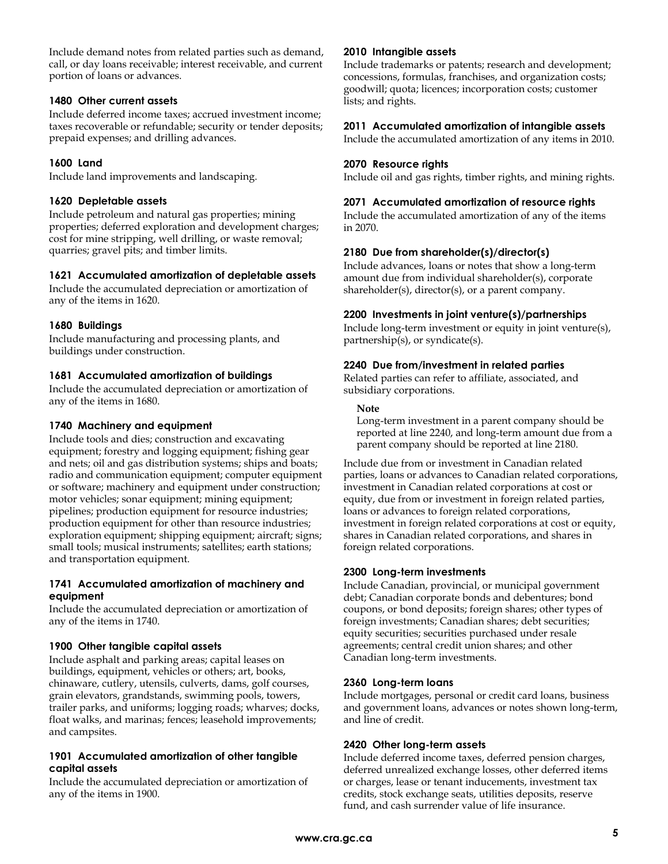Include demand notes from related parties such as demand, call, or day loans receivable; interest receivable, and current portion of loans or advances.

#### **1480 Other current assets**

Include deferred income taxes; accrued investment income; taxes recoverable or refundable; security or tender deposits; prepaid expenses; and drilling advances.

#### **1600 Land**

Include land improvements and landscaping.

#### **1620 Depletable assets**

Include petroleum and natural gas properties; mining properties; deferred exploration and development charges; cost for mine stripping, well drilling, or waste removal; quarries; gravel pits; and timber limits.

#### **1621 Accumulated amortization of depletable assets**

Include the accumulated depreciation or amortization of any of the items in 1620.

#### **1680 Buildings**

Include manufacturing and processing plants, and buildings under construction.

#### **1681 Accumulated amortization of buildings**

Include the accumulated depreciation or amortization of any of the items in 1680.

#### **1740 Machinery and equipment**

Include tools and dies; construction and excavating equipment; forestry and logging equipment; fishing gear and nets; oil and gas distribution systems; ships and boats; radio and communication equipment; computer equipment or software; machinery and equipment under construction; motor vehicles; sonar equipment; mining equipment; pipelines; production equipment for resource industries; production equipment for other than resource industries; exploration equipment; shipping equipment; aircraft; signs; small tools; musical instruments; satellites; earth stations; and transportation equipment.

#### **1741 Accumulated amortization of machinery and equipment**

Include the accumulated depreciation or amortization of any of the items in 1740.

#### **1900 Other tangible capital assets**

Include asphalt and parking areas; capital leases on buildings, equipment, vehicles or others; art, books, chinaware, cutlery, utensils, culverts, dams, golf courses, grain elevators, grandstands, swimming pools, towers, trailer parks, and uniforms; logging roads; wharves; docks, float walks, and marinas; fences; leasehold improvements; and campsites.

#### **1901 Accumulated amortization of other tangible capital assets**

Include the accumulated depreciation or amortization of any of the items in 1900.

#### **2010 Intangible assets**

Include trademarks or patents; research and development; concessions, formulas, franchises, and organization costs; goodwill; quota; licences; incorporation costs; customer lists; and rights.

#### **2011 Accumulated amortization of intangible assets**

Include the accumulated amortization of any items in 2010.

#### **2070 Resource rights**

Include oil and gas rights, timber rights, and mining rights.

#### **2071 Accumulated amortization of resource rights**

Include the accumulated amortization of any of the items in 2070.

#### **2180 Due from shareholder(s)/director(s)**

Include advances, loans or notes that show a long-term amount due from individual shareholder(s), corporate shareholder(s), director(s), or a parent company.

#### **2200 Investments in joint venture(s)/partnerships**

Include long-term investment or equity in joint venture(s), partnership(s), or syndicate(s).

#### **2240 Due from/investment in related parties**

Related parties can refer to affiliate, associated, and subsidiary corporations.

#### **Note**

Long-term investment in a parent company should be reported at line 2240, and long-term amount due from a parent company should be reported at line 2180.

Include due from or investment in Canadian related parties, loans or advances to Canadian related corporations, investment in Canadian related corporations at cost or equity, due from or investment in foreign related parties, loans or advances to foreign related corporations, investment in foreign related corporations at cost or equity, shares in Canadian related corporations, and shares in foreign related corporations.

#### **2300 Long-term investments**

Include Canadian, provincial, or municipal government debt; Canadian corporate bonds and debentures; bond coupons, or bond deposits; foreign shares; other types of foreign investments; Canadian shares; debt securities; equity securities; securities purchased under resale agreements; central credit union shares; and other Canadian long-term investments.

#### **2360 Long-term loans**

Include mortgages, personal or credit card loans, business and government loans, advances or notes shown long-term, and line of credit.

#### **2420 Other long-term assets**

Include deferred income taxes, deferred pension charges, deferred unrealized exchange losses, other deferred items or charges, lease or tenant inducements, investment tax credits, stock exchange seats, utilities deposits, reserve fund, and cash surrender value of life insurance.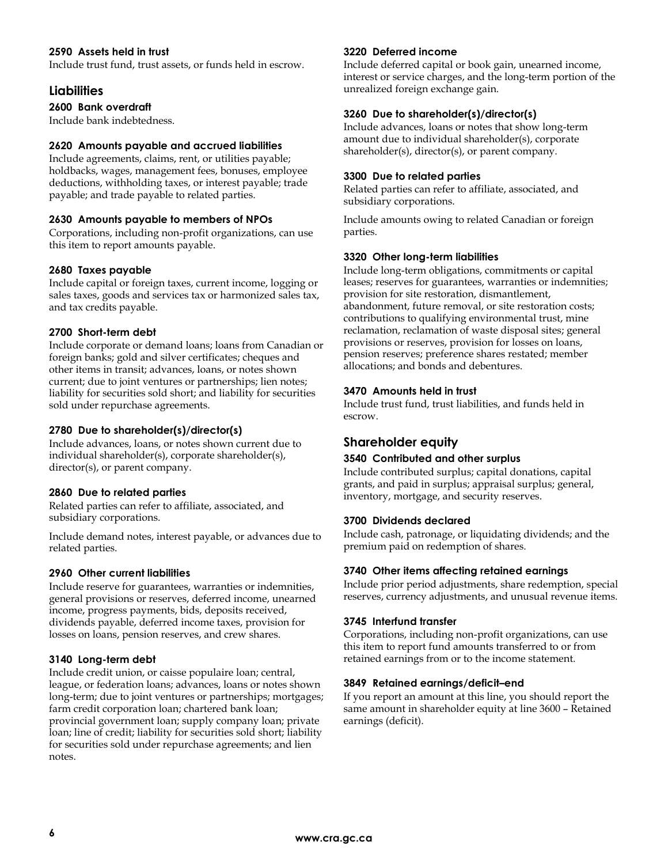#### **2590 Assets held in trust**

Include trust fund, trust assets, or funds held in escrow.

#### **Liabilities**

#### **2600 Bank overdraft**

Include bank indebtedness.

#### **2620 Amounts payable and accrued liabilities**

Include agreements, claims, rent, or utilities payable; holdbacks, wages, management fees, bonuses, employee deductions, withholding taxes, or interest payable; trade payable; and trade payable to related parties.

#### **2630 Amounts payable to members of NPOs**

Corporations, including non-profit organizations, can use this item to report amounts payable.

#### **2680 Taxes payable**

Include capital or foreign taxes, current income, logging or sales taxes, goods and services tax or harmonized sales tax, and tax credits payable.

#### **2700 Short-term debt**

Include corporate or demand loans; loans from Canadian or foreign banks; gold and silver certificates; cheques and other items in transit; advances, loans, or notes shown current; due to joint ventures or partnerships; lien notes; liability for securities sold short; and liability for securities sold under repurchase agreements.

#### **2780 Due to shareholder(s)/director(s)**

Include advances, loans, or notes shown current due to individual shareholder(s), corporate shareholder(s), director(s), or parent company.

#### **2860 Due to related parties**

Related parties can refer to affiliate, associated, and subsidiary corporations.

Include demand notes, interest payable, or advances due to related parties.

#### **2960 Other current liabilities**

Include reserve for guarantees, warranties or indemnities, general provisions or reserves, deferred income, unearned income, progress payments, bids, deposits received, dividends payable, deferred income taxes, provision for losses on loans, pension reserves, and crew shares.

#### **3140 Long-term debt**

Include credit union, or caisse populaire loan; central, league, or federation loans; advances, loans or notes shown long-term; due to joint ventures or partnerships; mortgages; farm credit corporation loan; chartered bank loan; provincial government loan; supply company loan; private loan; line of credit; liability for securities sold short; liability for securities sold under repurchase agreements; and lien notes.

#### **3220 Deferred income**

Include deferred capital or book gain, unearned income, interest or service charges, and the long-term portion of the unrealized foreign exchange gain.

#### **3260 Due to shareholder(s)/director(s)**

Include advances, loans or notes that show long-term amount due to individual shareholder(s), corporate shareholder(s), director(s), or parent company.

#### **3300 Due to related parties**

Related parties can refer to affiliate, associated, and subsidiary corporations.

Include amounts owing to related Canadian or foreign parties.

#### **3320 Other long-term liabilities**

Include long-term obligations, commitments or capital leases; reserves for guarantees, warranties or indemnities; provision for site restoration, dismantlement, abandonment, future removal, or site restoration costs; contributions to qualifying environmental trust, mine reclamation, reclamation of waste disposal sites; general provisions or reserves, provision for losses on loans, pension reserves; preference shares restated; member allocations; and bonds and debentures.

#### **3470 Amounts held in trust**

Include trust fund, trust liabilities, and funds held in escrow.

#### **Shareholder equity**

#### **3540 Contributed and other surplus**

Include contributed surplus; capital donations, capital grants, and paid in surplus; appraisal surplus; general, inventory, mortgage, and security reserves.

#### **3700 Dividends declared**

Include cash, patronage, or liquidating dividends; and the premium paid on redemption of shares.

#### **3740 Other items affecting retained earnings**

Include prior period adjustments, share redemption, special reserves, currency adjustments, and unusual revenue items.

#### **3745 Interfund transfer**

Corporations, including non-profit organizations, can use this item to report fund amounts transferred to or from retained earnings from or to the income statement.

#### **3849 Retained earnings/deficit–end**

If you report an amount at this line, you should report the same amount in shareholder equity at line 3600 – Retained earnings (deficit).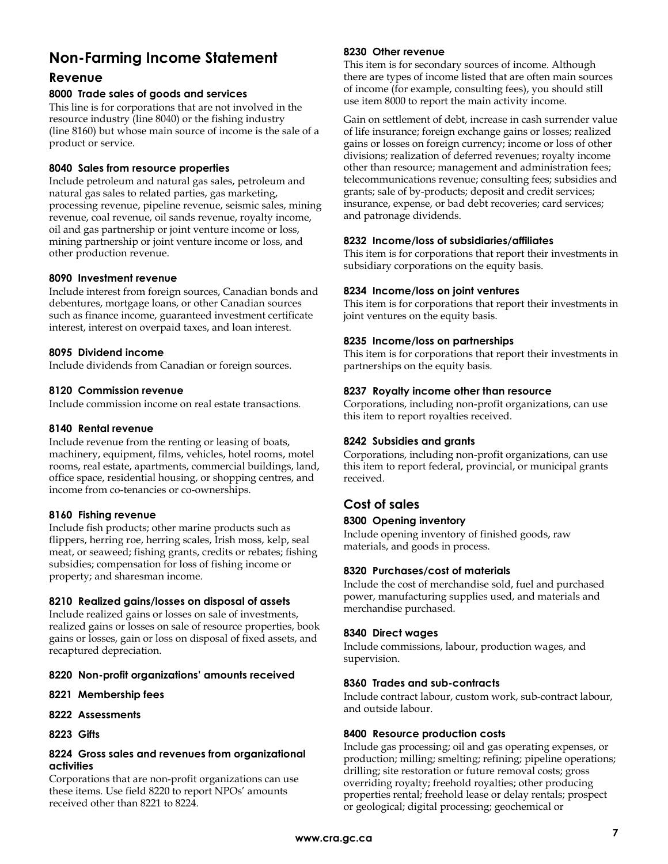# **Non-Farming Income Statement**

### **Revenue**

#### **8000 Trade sales of goods and services**

This line is for corporations that are not involved in the resource industry (line 8040) or the fishing industry (line 8160) but whose main source of income is the sale of a product or service.

#### **8040 Sales from resource properties**

Include petroleum and natural gas sales, petroleum and natural gas sales to related parties, gas marketing, processing revenue, pipeline revenue, seismic sales, mining revenue, coal revenue, oil sands revenue, royalty income, oil and gas partnership or joint venture income or loss, mining partnership or joint venture income or loss, and other production revenue.

#### **8090 Investment revenue**

Include interest from foreign sources, Canadian bonds and debentures, mortgage loans, or other Canadian sources such as finance income, guaranteed investment certificate interest, interest on overpaid taxes, and loan interest.

#### **8095 Dividend income**

Include dividends from Canadian or foreign sources.

#### **8120 Commission revenue**

Include commission income on real estate transactions.

#### **8140 Rental revenue**

Include revenue from the renting or leasing of boats, machinery, equipment, films, vehicles, hotel rooms, motel rooms, real estate, apartments, commercial buildings, land, office space, residential housing, or shopping centres, and income from co-tenancies or co-ownerships.

#### **8160 Fishing revenue**

Include fish products; other marine products such as flippers, herring roe, herring scales, Irish moss, kelp, seal meat, or seaweed; fishing grants, credits or rebates; fishing subsidies; compensation for loss of fishing income or property; and sharesman income.

#### **8210 Realized gains/losses on disposal of assets**

Include realized gains or losses on sale of investments, realized gains or losses on sale of resource properties, book gains or losses, gain or loss on disposal of fixed assets, and recaptured depreciation.

#### **8220 Non-profit organizations' amounts received**

- **8221 Membership fees**
- **8222 Assessments**
- **8223 Gifts**

#### **8224 Gross sales and revenues from organizational activities**

Corporations that are non-profit organizations can use these items. Use field 8220 to report NPOs' amounts received other than 8221 to 8224.

#### **8230 Other revenue**

This item is for secondary sources of income. Although there are types of income listed that are often main sources of income (for example, consulting fees), you should still use item 8000 to report the main activity income.

Gain on settlement of debt, increase in cash surrender value of life insurance; foreign exchange gains or losses; realized gains or losses on foreign currency; income or loss of other divisions; realization of deferred revenues; royalty income other than resource; management and administration fees; telecommunications revenue; consulting fees; subsidies and grants; sale of by-products; deposit and credit services; insurance, expense, or bad debt recoveries; card services; and patronage dividends.

#### **8232 Income/loss of subsidiaries/affiliates**

This item is for corporations that report their investments in subsidiary corporations on the equity basis.

#### **8234 Income/loss on joint ventures**

This item is for corporations that report their investments in joint ventures on the equity basis.

#### **8235 Income/loss on partnerships**

This item is for corporations that report their investments in partnerships on the equity basis.

#### **8237 Royalty income other than resource**

Corporations, including non-profit organizations, can use this item to report royalties received.

#### **8242 Subsidies and grants**

Corporations, including non-profit organizations, can use this item to report federal, provincial, or municipal grants received.

# **Cost of sales**

#### **8300 Opening inventory**

Include opening inventory of finished goods, raw materials, and goods in process.

#### **8320 Purchases/cost of materials**

Include the cost of merchandise sold, fuel and purchased power, manufacturing supplies used, and materials and merchandise purchased.

#### **8340 Direct wages**

Include commissions, labour, production wages, and supervision.

#### **8360 Trades and sub-contracts**

Include contract labour, custom work, sub-contract labour, and outside labour.

#### **8400 Resource production costs**

Include gas processing; oil and gas operating expenses, or production; milling; smelting; refining; pipeline operations; drilling; site restoration or future removal costs; gross overriding royalty; freehold royalties; other producing properties rental; freehold lease or delay rentals; prospect or geological; digital processing; geochemical or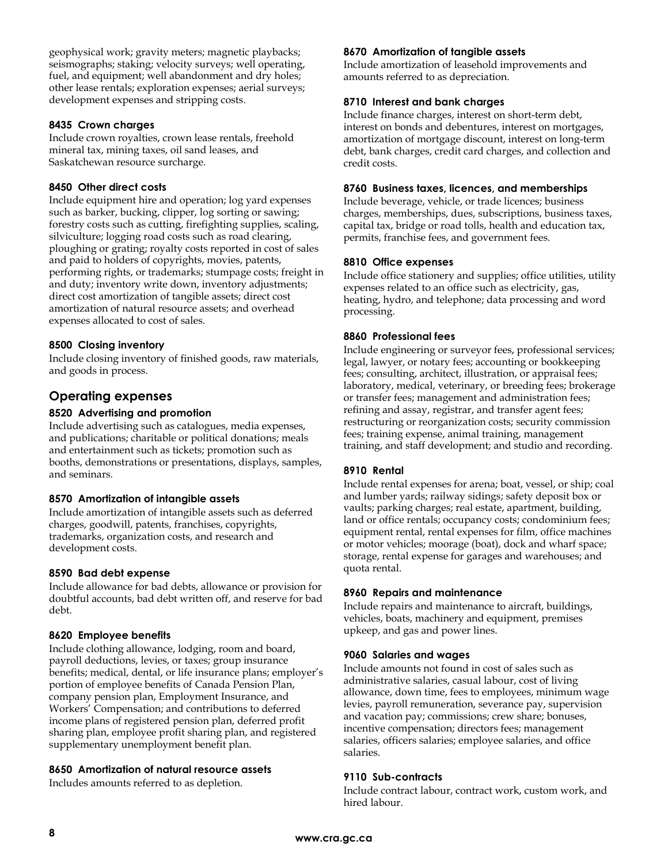geophysical work; gravity meters; magnetic playbacks; seismographs; staking; velocity surveys; well operating, fuel, and equipment; well abandonment and dry holes; other lease rentals; exploration expenses; aerial surveys; development expenses and stripping costs.

#### **8435 Crown charges**

Include crown royalties, crown lease rentals, freehold mineral tax, mining taxes, oil sand leases, and Saskatchewan resource surcharge.

#### **8450 Other direct costs**

Include equipment hire and operation; log yard expenses such as barker, bucking, clipper, log sorting or sawing; forestry costs such as cutting, firefighting supplies, scaling, silviculture; logging road costs such as road clearing, ploughing or grating; royalty costs reported in cost of sales and paid to holders of copyrights, movies, patents, performing rights, or trademarks; stumpage costs; freight in and duty; inventory write down, inventory adjustments; direct cost amortization of tangible assets; direct cost amortization of natural resource assets; and overhead expenses allocated to cost of sales.

#### **8500 Closing inventory**

Include closing inventory of finished goods, raw materials, and goods in process.

## **Operating expenses**

#### **8520 Advertising and promotion**

Include advertising such as catalogues, media expenses, and publications; charitable or political donations; meals and entertainment such as tickets; promotion such as booths, demonstrations or presentations, displays, samples, and seminars.

#### **8570 Amortization of intangible assets**

Include amortization of intangible assets such as deferred charges, goodwill, patents, franchises, copyrights, trademarks, organization costs, and research and development costs.

#### **8590 Bad debt expense**

Include allowance for bad debts, allowance or provision for doubtful accounts, bad debt written off, and reserve for bad debt.

#### **8620 Employee benefits**

Include clothing allowance, lodging, room and board, payroll deductions, levies, or taxes; group insurance benefits; medical, dental, or life insurance plans; employer's portion of employee benefits of Canada Pension Plan, company pension plan, Employment Insurance, and Workers' Compensation; and contributions to deferred income plans of registered pension plan, deferred profit sharing plan, employee profit sharing plan, and registered supplementary unemployment benefit plan.

#### **8650 Amortization of natural resource assets**

Includes amounts referred to as depletion.

#### **8670 Amortization of tangible assets**

Include amortization of leasehold improvements and amounts referred to as depreciation.

#### **8710 Interest and bank charges**

Include finance charges, interest on short-term debt, interest on bonds and debentures, interest on mortgages, amortization of mortgage discount, interest on long-term debt, bank charges, credit card charges, and collection and credit costs.

#### **8760 Business taxes, licences, and memberships**

Include beverage, vehicle, or trade licences; business charges, memberships, dues, subscriptions, business taxes, capital tax, bridge or road tolls, health and education tax, permits, franchise fees, and government fees.

#### **8810 Office expenses**

Include office stationery and supplies; office utilities, utility expenses related to an office such as electricity, gas, heating, hydro, and telephone; data processing and word processing.

#### **8860 Professional fees**

Include engineering or surveyor fees, professional services; legal, lawyer, or notary fees; accounting or bookkeeping fees; consulting, architect, illustration, or appraisal fees; laboratory, medical, veterinary, or breeding fees; brokerage or transfer fees; management and administration fees; refining and assay, registrar, and transfer agent fees; restructuring or reorganization costs; security commission fees; training expense, animal training, management training, and staff development; and studio and recording.

#### **8910 Rental**

Include rental expenses for arena; boat, vessel, or ship; coal and lumber yards; railway sidings; safety deposit box or vaults; parking charges; real estate, apartment, building, land or office rentals; occupancy costs; condominium fees; equipment rental, rental expenses for film, office machines or motor vehicles; moorage (boat), dock and wharf space; storage, rental expense for garages and warehouses; and quota rental.

#### **8960 Repairs and maintenance**

Include repairs and maintenance to aircraft, buildings, vehicles, boats, machinery and equipment, premises upkeep, and gas and power lines.

#### **9060 Salaries and wages**

Include amounts not found in cost of sales such as administrative salaries, casual labour, cost of living allowance, down time, fees to employees, minimum wage levies, payroll remuneration, severance pay, supervision and vacation pay; commissions; crew share; bonuses, incentive compensation; directors fees; management salaries, officers salaries; employee salaries, and office salaries.

#### **9110 Sub-contracts**

Include contract labour, contract work, custom work, and hired labour.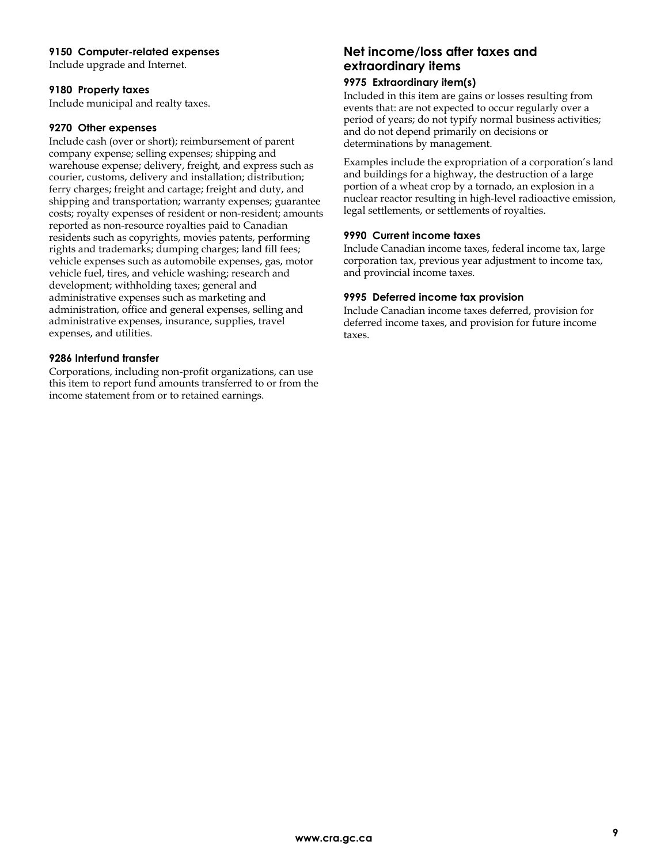#### **9150 Computer-related expenses**

Include upgrade and Internet.

#### **9180 Property taxes**

Include municipal and realty taxes.

#### **9270 Other expenses**

Include cash (over or short); reimbursement of parent company expense; selling expenses; shipping and warehouse expense; delivery, freight, and express such as courier, customs, delivery and installation; distribution; ferry charges; freight and cartage; freight and duty, and shipping and transportation; warranty expenses; guarantee costs; royalty expenses of resident or non-resident; amounts reported as non-resource royalties paid to Canadian residents such as copyrights, movies patents, performing rights and trademarks; dumping charges; land fill fees; vehicle expenses such as automobile expenses, gas, motor vehicle fuel, tires, and vehicle washing; research and development; withholding taxes; general and administrative expenses such as marketing and administration, office and general expenses, selling and administrative expenses, insurance, supplies, travel expenses, and utilities.

#### **9286 Interfund transfer**

Corporations, including non-profit organizations, can use this item to report fund amounts transferred to or from the income statement from or to retained earnings.

# **Net income/loss after taxes and extraordinary items**

#### **9975 Extraordinary item(s)**

Included in this item are gains or losses resulting from events that: are not expected to occur regularly over a period of years; do not typify normal business activities; and do not depend primarily on decisions or determinations by management.

Examples include the expropriation of a corporation's land and buildings for a highway, the destruction of a large portion of a wheat crop by a tornado, an explosion in a nuclear reactor resulting in high-level radioactive emission, legal settlements, or settlements of royalties.

#### **9990 Current income taxes**

Include Canadian income taxes, federal income tax, large corporation tax, previous year adjustment to income tax, and provincial income taxes.

#### **9995 Deferred income tax provision**

Include Canadian income taxes deferred, provision for deferred income taxes, and provision for future income taxes.